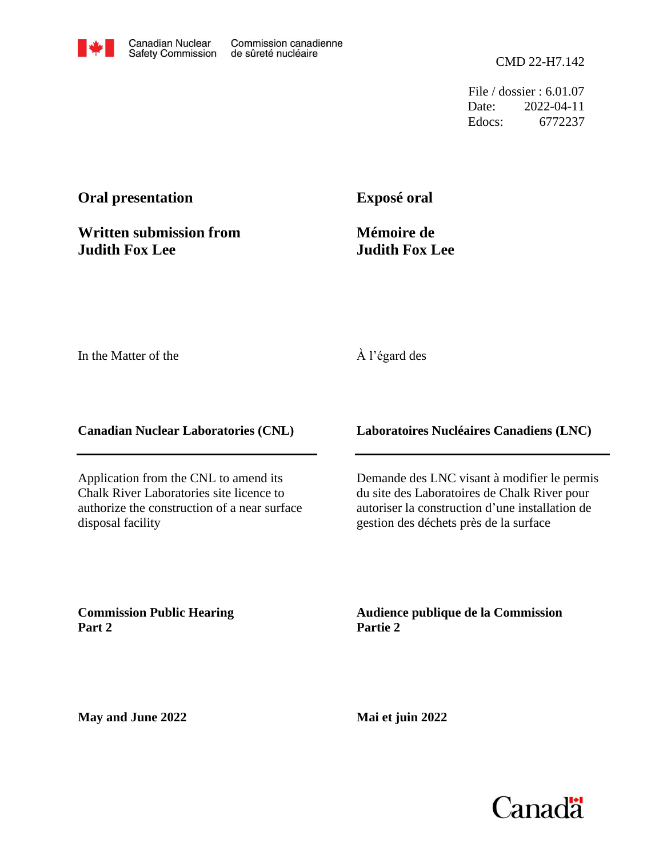File / dossier : 6.01.07 Date: 2022-04-11 Edocs: 6772237

# **Oral presentation**

**Written submission from Judith Fox Lee**

**Exposé oral**

**Mémoire de Judith Fox Lee**

In the Matter of the

# À l'égard des

**Canadian Nuclear Laboratories (CNL)**

Application from the CNL to amend its Chalk River Laboratories site licence to authorize the construction of a near surface disposal facility

**Laboratoires Nucléaires Canadiens (LNC)**

Demande des LNC visant à modifier le permis du site des Laboratoires de Chalk River pour autoriser la construction d'une installation de gestion des déchets près de la surface

**Commission Public Hearing Part 2**

**Audience publique de la Commission Partie 2**

**May and June 2022**

**Mai et juin 2022**

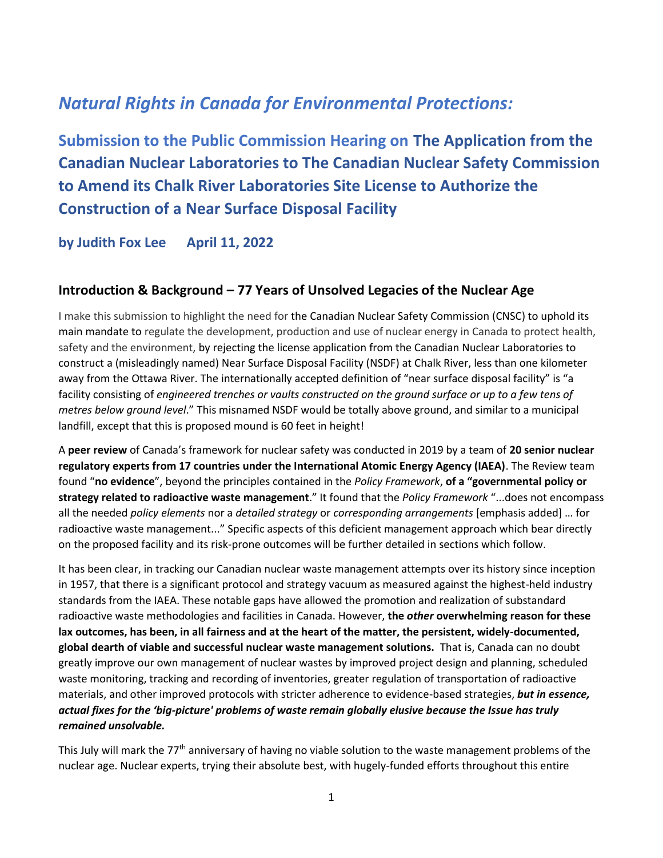# *Natural Rights in Canada for Environmental Protections:*

**Submission to the Public Commission Hearing on The Application from the Canadian Nuclear Laboratories to The Canadian Nuclear Safety Commission to Amend its Chalk River Laboratories Site License to Authorize the Construction of a Near Surface Disposal Facility** 

**by Judith Fox Lee April 11, 2022**

## **Introduction & Background – 77 Years of Unsolved Legacies of the Nuclear Age**

I make this submission to highlight the need for the Canadian Nuclear Safety Commission (CNSC) to uphold its main mandate to regulate the development, production and use of nuclear energy in Canada to protect health, safety and the environment, by rejecting the license application from the Canadian Nuclear Laboratories to construct a (misleadingly named) Near Surface Disposal Facility (NSDF) at Chalk River, less than one kilometer away from the Ottawa River. The internationally accepted definition of "near surface disposal facility" is "a facility consisting of *engineered trenches or vaults constructed on the ground surface or up to a few tens of metres below ground level*." This misnamed NSDF would be totally above ground, and similar to a municipal landfill, except that this is proposed mound is 60 feet in height!

A **peer review** of Canada's framework for nuclear safety was conducted in 2019 by a team of **20 senior nuclear regulatory experts from 17 countries under the International Atomic Energy Agency (IAEA)**. The Review team found "**no evidence**", beyond the principles contained in the *Policy Framework*, **of a "governmental policy or strategy related to radioactive waste management**." It found that the *Policy Framework* "...does not encompass all the needed *policy elements* nor a *detailed strategy* or *corresponding arrangements* [emphasis added] … for radioactive waste management..." Specific aspects of this deficient management approach which bear directly on the proposed facility and its risk-prone outcomes will be further detailed in sections which follow.

It has been clear, in tracking our Canadian nuclear waste management attempts over its history since inception in 1957, that there is a significant protocol and strategy vacuum as measured against the highest-held industry standards from the IAEA. These notable gaps have allowed the promotion and realization of substandard radioactive waste methodologies and facilities in Canada. However, **the** *other* **overwhelming reason for these lax outcomes, has been, in all fairness and at the heart of the matter, the persistent, widely-documented, global dearth of viable and successful nuclear waste management solutions.** That is, Canada can no doubt greatly improve our own management of nuclear wastes by improved project design and planning, scheduled waste monitoring, tracking and recording of inventories, greater regulation of transportation of radioactive materials, and other improved protocols with stricter adherence to evidence-based strategies, *but in essence, actual fixes for the 'big-picture' problems of waste remain globally elusive because the Issue has truly remained unsolvable.*

This July will mark the 77<sup>th</sup> anniversary of having no viable solution to the waste management problems of the nuclear age. Nuclear experts, trying their absolute best, with hugely-funded efforts throughout this entire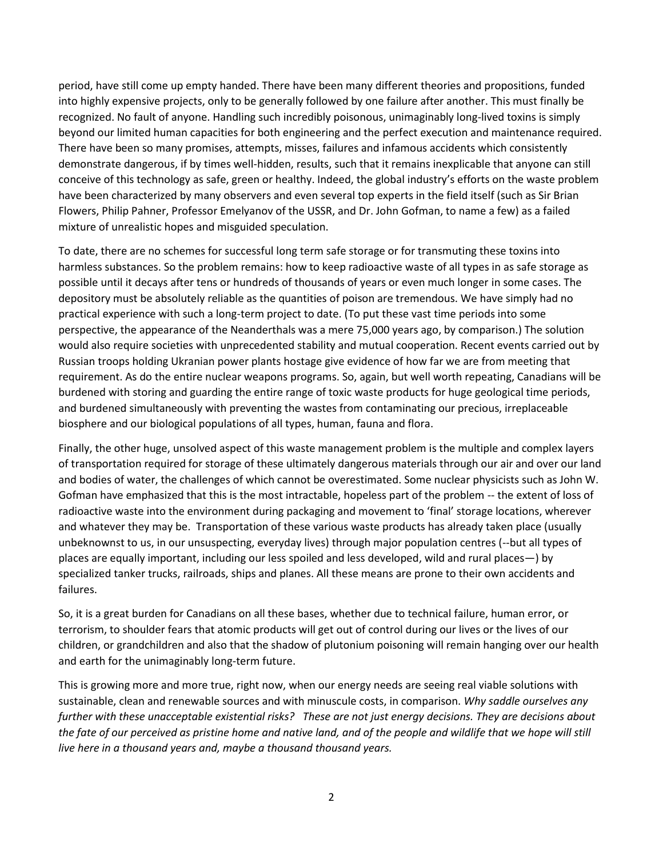period, have still come up empty handed. There have been many different theories and propositions, funded into highly expensive projects, only to be generally followed by one failure after another. This must finally be recognized. No fault of anyone. Handling such incredibly poisonous, unimaginably long-lived toxins is simply beyond our limited human capacities for both engineering and the perfect execution and maintenance required. There have been so many promises, attempts, misses, failures and infamous accidents which consistently demonstrate dangerous, if by times well-hidden, results, such that it remains inexplicable that anyone can still conceive of this technology as safe, green or healthy. Indeed, the global industry's efforts on the waste problem have been characterized by many observers and even several top experts in the field itself (such as Sir Brian Flowers, Philip Pahner, Professor Emelyanov of the USSR, and Dr. John Gofman, to name a few) as a failed mixture of unrealistic hopes and misguided speculation.

To date, there are no schemes for successful long term safe storage or for transmuting these toxins into harmless substances. So the problem remains: how to keep radioactive waste of all types in as safe storage as possible until it decays after tens or hundreds of thousands of years or even much longer in some cases. The depository must be absolutely reliable as the quantities of poison are tremendous. We have simply had no practical experience with such a long-term project to date. (To put these vast time periods into some perspective, the appearance of the Neanderthals was a mere 75,000 years ago, by comparison.) The solution would also require societies with unprecedented stability and mutual cooperation. Recent events carried out by Russian troops holding Ukranian power plants hostage give evidence of how far we are from meeting that requirement. As do the entire nuclear weapons programs. So, again, but well worth repeating, Canadians will be burdened with storing and guarding the entire range of toxic waste products for huge geological time periods, and burdened simultaneously with preventing the wastes from contaminating our precious, irreplaceable biosphere and our biological populations of all types, human, fauna and flora.

Finally, the other huge, unsolved aspect of this waste management problem is the multiple and complex layers of transportation required for storage of these ultimately dangerous materials through our air and over our land and bodies of water, the challenges of which cannot be overestimated. Some nuclear physicists such as John W. Gofman have emphasized that this is the most intractable, hopeless part of the problem -- the extent of loss of radioactive waste into the environment during packaging and movement to 'final' storage locations, wherever and whatever they may be. Transportation of these various waste products has already taken place (usually unbeknownst to us, in our unsuspecting, everyday lives) through major population centres (--but all types of places are equally important, including our less spoiled and less developed, wild and rural places—) by specialized tanker trucks, railroads, ships and planes. All these means are prone to their own accidents and failures.

So, it is a great burden for Canadians on all these bases, whether due to technical failure, human error, or terrorism, to shoulder fears that atomic products will get out of control during our lives or the lives of our children, or grandchildren and also that the shadow of plutonium poisoning will remain hanging over our health and earth for the unimaginably long-term future.

This is growing more and more true, right now, when our energy needs are seeing real viable solutions with sustainable, clean and renewable sources and with minuscule costs, in comparison. *Why saddle ourselves any further with these unacceptable existential risks? These are not just energy decisions. They are decisions about the fate of our perceived as pristine home and native land, and of the people and wildlife that we hope will still live here in a thousand years and, maybe a thousand thousand years.*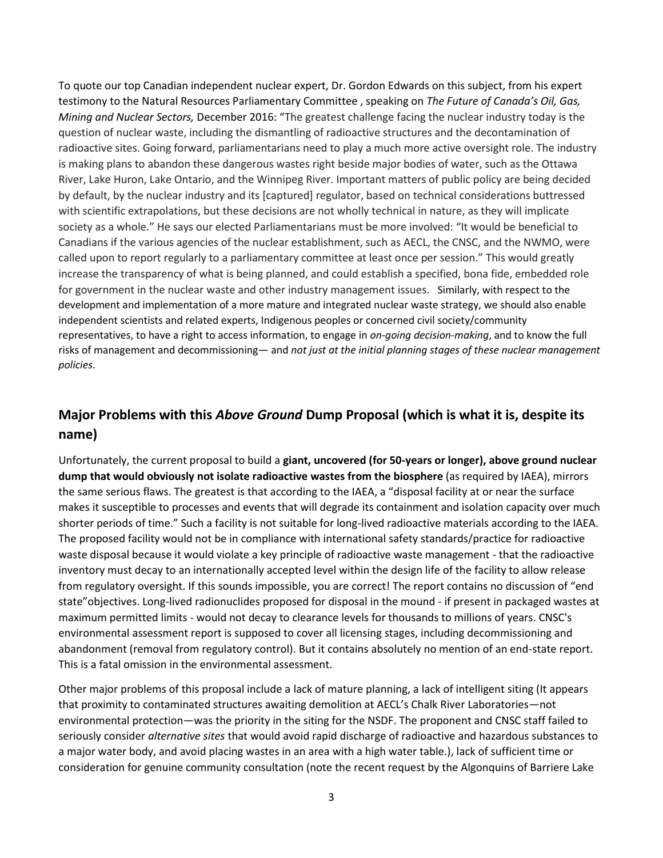To quote our top Canadian independent nuclear expert, Dr. Gordon Edwards on this subject, from his expert testimony to the Natural Resources Parliamentary Committee , speaking on *The Future of Canada's Oil, Gas, Mining and Nuclear Sectors,* December 2016: "The greatest challenge facing the nuclear industry today is the question of nuclear waste, including the dismantling of radioactive structures and the decontamination of radioactive sites. Going forward, parliamentarians need to play a much more active oversight role. The industry is making plans to abandon these dangerous wastes right beside major bodies of water, such as the Ottawa River, Lake Huron, Lake Ontario, and the Winnipeg River. Important matters of public policy are being decided by default, by the nuclear industry and its [captured] regulator, based on technical considerations buttressed with scientific extrapolations, but these decisions are not wholly technical in nature, as they will implicate society as a whole." He says our elected Parliamentarians must be more involved: "It would be beneficial to Canadians if the various agencies of the nuclear establishment, such as AECL, the CNSC, and the NWMO, were called upon to report regularly to a parliamentary committee at least once per session." This would greatly increase the transparency of what is being planned, and could establish a specified, bona fide, embedded role for government in the nuclear waste and other industry management issues. Similarly, with respect to the development and implementation of a more mature and integrated nuclear waste strategy, we should also enable independent scientists and related experts, Indigenous peoples or concerned civil society/community representatives, to have a right to access information, to engage in *on-going decision-making*, and to know the full risks of management and decommissioning— and *not just at the initial planning stages of these nuclear management policies*.

# **Major Problems with this** *Above Ground* **Dump Proposal (which is what it is, despite its name)**

Unfortunately, the current proposal to build a **giant, uncovered (for 50-years or longer), above ground nuclear dump that would obviously not isolate radioactive wastes from the biosphere** (as required by IAEA), mirrors the same serious flaws. The greatest is that according to the IAEA, a "disposal facility at or near the surface makes it susceptible to processes and events that will degrade its containment and isolation capacity over much shorter periods of time." Such a facility is not suitable for long-lived radioactive materials according to the IAEA. The proposed facility would not be in compliance with international safety standards/practice for radioactive waste disposal because it would violate a key principle of radioactive waste management - that the radioactive inventory must decay to an internationally accepted level within the design life of the facility to allow release from regulatory oversight. If this sounds impossible, you are correct! The report contains no discussion of "end state"objectives. Long-lived radionuclides proposed for disposal in the mound - if present in packaged wastes at maximum permitted limits - would not decay to clearance levels for thousands to millions of years. CNSC's environmental assessment report is supposed to cover all licensing stages, including decommissioning and abandonment (removal from regulatory control). But it contains absolutely no mention of an end-state report. This is a fatal omission in the environmental assessment.

Other major problems of this proposal include a lack of mature planning, a lack of intelligent siting (It appears that proximity to contaminated structures awaiting demolition at AECL's Chalk River Laboratories—not environmental protection—was the priority in the siting for the NSDF. The proponent and CNSC staff failed to seriously consider *alternative sites* that would avoid rapid discharge of radioactive and hazardous substances to a major water body, and avoid placing wastes in an area with a high water table.), lack of sufficient time or consideration for genuine community consultation (note the recent request by the Algonquins of Barriere Lake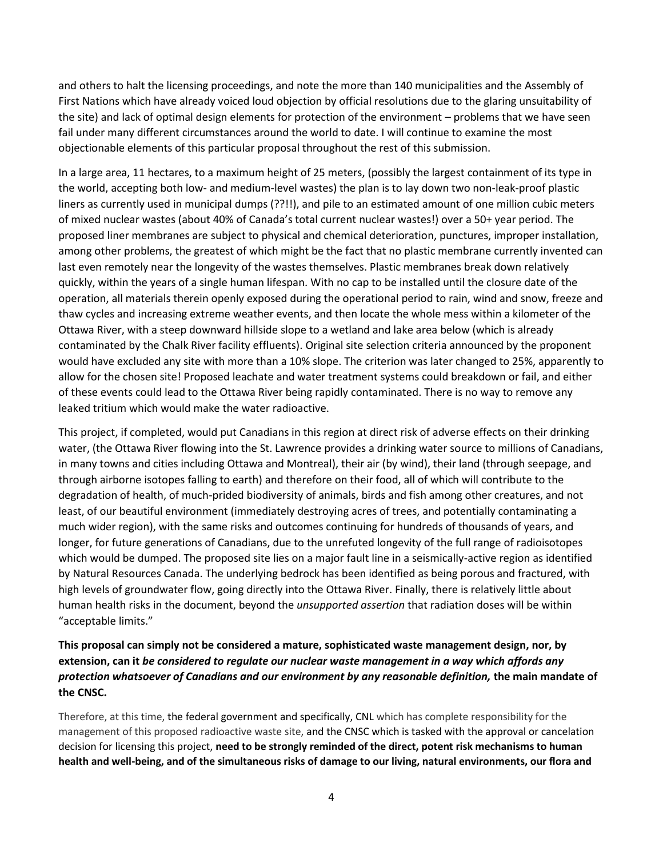and others to halt the licensing proceedings, and note the more than 140 municipalities and the Assembly of First Nations which have already voiced loud objection by official resolutions due to the glaring unsuitability of the site) and lack of optimal design elements for protection of the environment – problems that we have seen fail under many different circumstances around the world to date. I will continue to examine the most objectionable elements of this particular proposal throughout the rest of this submission.

In a large area, 11 hectares, to a maximum height of 25 meters, (possibly the largest containment of its type in the world, accepting both low- and medium-level wastes) the plan is to lay down two non-leak-proof plastic liners as currently used in municipal dumps (??!!), and pile to an estimated amount of one million cubic meters of mixed nuclear wastes (about 40% of Canada's total current nuclear wastes!) over a 50+ year period. The proposed liner membranes are subject to physical and chemical deterioration, punctures, improper installation, among other problems, the greatest of which might be the fact that no plastic membrane currently invented can last even remotely near the longevity of the wastes themselves. Plastic membranes break down relatively quickly, within the years of a single human lifespan. With no cap to be installed until the closure date of the operation, all materials therein openly exposed during the operational period to rain, wind and snow, freeze and thaw cycles and increasing extreme weather events, and then locate the whole mess within a kilometer of the Ottawa River, with a steep downward hillside slope to a wetland and lake area below (which is already contaminated by the Chalk River facility effluents). Original site selection criteria announced by the proponent would have excluded any site with more than a 10% slope. The criterion was later changed to 25%, apparently to allow for the chosen site! Proposed leachate and water treatment systems could breakdown or fail, and either of these events could lead to the Ottawa River being rapidly contaminated. There is no way to remove any leaked tritium which would make the water radioactive.

This project, if completed, would put Canadians in this region at direct risk of adverse effects on their drinking water, (the Ottawa River flowing into the St. Lawrence provides a drinking water source to millions of Canadians, in many towns and cities including Ottawa and Montreal), their air (by wind), their land (through seepage, and through airborne isotopes falling to earth) and therefore on their food, all of which will contribute to the degradation of health, of much-prided biodiversity of animals, birds and fish among other creatures, and not least, of our beautiful environment (immediately destroying acres of trees, and potentially contaminating a much wider region), with the same risks and outcomes continuing for hundreds of thousands of years, and longer, for future generations of Canadians, due to the unrefuted longevity of the full range of radioisotopes which would be dumped. The proposed site lies on a major fault line in a seismically-active region as identified by Natural Resources Canada. The underlying bedrock has been identified as being porous and fractured, with high levels of groundwater flow, going directly into the Ottawa River. Finally, there is relatively little about human health risks in the document, beyond the *unsupported assertion* that radiation doses will be within "acceptable limits."

#### **This proposal can simply not be considered a mature, sophisticated waste management design, nor, by extension, can it** *be considered to regulate our nuclear waste management in a way which affords any protection whatsoever of Canadians and our environment by any reasonable definition,* **the main mandate of the CNSC.**

Therefore, at this time, the federal government and specifically, CNL which has complete responsibility for the management of this proposed radioactive waste site, and the CNSC which is tasked with the approval or cancelation decision for licensing this project, **need to be strongly reminded of the direct, potent risk mechanisms to human health and well-being, and of the simultaneous risks of damage to our living, natural environments, our flora and**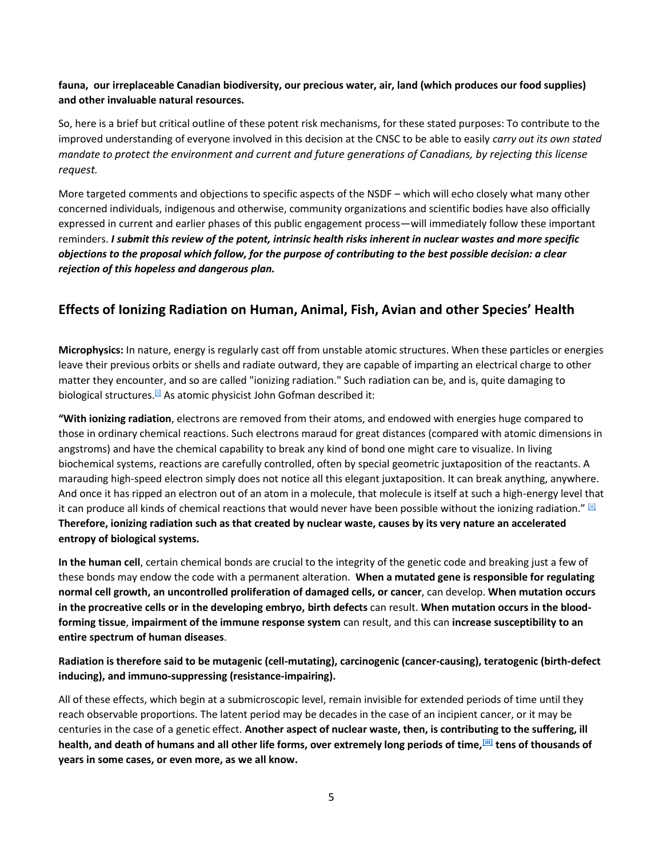#### **fauna, our irreplaceable Canadian biodiversity, our precious water, air, land (which produces our food supplies) and other invaluable natural resources.**

So, here is a brief but critical outline of these potent risk mechanisms, for these stated purposes: To contribute to the improved understanding of everyone involved in this decision at the CNSC to be able to easily *carry out its own stated mandate to protect the environment and current and future generations of Canadians, by rejecting this license request.*

More targeted comments and objections to specific aspects of the NSDF – which will echo closely what many other concerned individuals, indigenous and otherwise, community organizations and scientific bodies have also officially expressed in current and earlier phases of this public engagement process—will immediately follow these important reminders. *I submit this review of the potent, intrinsic health risks inherent in nuclear wastes and more specific objections to the proposal which follow, for the purpose of contributing to the best possible decision: a clear rejection of this hopeless and dangerous plan.*

# **Effects of Ionizing Radiation on Human, Animal, Fish, Avian and other Species' Health**

**Microphysics:** In nature, energy is regularly cast off from unstable atomic structures. When these particles or energies leave their previous orbits or shells and radiate outward, they are capable of imparting an electrical charge to other matter they encounter, and so are called "ionizing radiation." Such radiation can be, and is, quite damaging to biological structures.<sup>[\[i\]](https://ukc-word-edit.officeapps.live.com/we/wordeditorframe.aspx?new=1&ui=en%2DUS&rs=en%2DUS&wdorigin=OFFICECOM-WEB.START.NEW-INSTANT&wdenableroaming=1&mscc=1&wdodb=1&hid=AA402FA0-40B2-3000-E9A6-1149598EA974&wopisrc=https%3A%2F%2Fvipassanatrust-my.sharepoint.com%2Fpersonal%2Fjudith_fox-lee_dhamma_org%2F_vti_bin%2Fwopi.ashx%2Ffiles%2Fac549aeca4a1490da830909acbe5a9fd&wdhostclicktime=1648761884544&jsapi=1&jsapiver=v1&newsession=1&corrid=94af02c4-cca4-43d3-8c66-862e081d0db3&usid=94af02c4-cca4-43d3-8c66-862e081d0db3&sftc=1&mtf=1&sfp=1&wdredirectionreason=Unified_SingleFlush&rct=Medium&ctp=LeastProtected#_edn1)</sup> As atomic physicist John Gofman described it:

**"With ionizing radiation**, electrons are removed from their atoms, and endowed with energies huge compared to those in ordinary chemical reactions. Such electrons maraud for great distances (compared with atomic dimensions in angstroms) and have the chemical capability to break any kind of bond one might care to visualize. In living biochemical systems, reactions are carefully controlled, often by special geometric juxtaposition of the reactants. A marauding high-speed electron simply does not notice all this elegant juxtaposition. It can break anything, anywhere. And once it has ripped an electron out of an atom in a molecule, that molecule is itself at such a high-energy level that it can produce all kinds of chemical reactions that would never have been possible without the ionizing radiation." [\[ii\]](https://ukc-word-edit.officeapps.live.com/we/wordeditorframe.aspx?new=1&ui=en%2DUS&rs=en%2DUS&wdorigin=OFFICECOM-WEB.START.NEW-INSTANT&wdenableroaming=1&mscc=1&wdodb=1&hid=AA402FA0-40B2-3000-E9A6-1149598EA974&wopisrc=https%3A%2F%2Fvipassanatrust-my.sharepoint.com%2Fpersonal%2Fjudith_fox-lee_dhamma_org%2F_vti_bin%2Fwopi.ashx%2Ffiles%2Fac549aeca4a1490da830909acbe5a9fd&wdhostclicktime=1648761884544&jsapi=1&jsapiver=v1&newsession=1&corrid=94af02c4-cca4-43d3-8c66-862e081d0db3&usid=94af02c4-cca4-43d3-8c66-862e081d0db3&sftc=1&mtf=1&sfp=1&wdredirectionreason=Unified_SingleFlush&rct=Medium&ctp=LeastProtected#_edn2) **Therefore, ionizing radiation such as that created by nuclear waste, causes by its very nature an accelerated entropy of biological systems.**

**In the human cell**, certain chemical bonds are crucial to the integrity of the genetic code and breaking just a few of these bonds may endow the code with a permanent alteration. **When a mutated gene is responsible for regulating normal cell growth, an uncontrolled proliferation of damaged cells, or cancer**, can develop. **When mutation occurs in the procreative cells or in the developing embryo, birth defects** can result. **When mutation occurs in the bloodforming tissue**, **impairment of the immune response system** can result, and this can **increase susceptibility to an entire spectrum of human diseases**.

**Radiation is therefore said to be mutagenic (cell-mutating), carcinogenic (cancer-causing), teratogenic (birth-defect inducing), and immuno-suppressing (resistance-impairing).**

All of these effects, which begin at a submicroscopic level, remain invisible for extended periods of time until they reach observable proportions. The latent period may be decades in the case of an incipient cancer, or it may be centuries in the case of a genetic effect. **Another aspect of nuclear waste, then, is contributing to the suffering, ill health, and death of humans and all other life forms, over extremely long periods of time,[\[iii\]](https://ukc-word-edit.officeapps.live.com/we/wordeditorframe.aspx?new=1&ui=en%2DUS&rs=en%2DUS&wdorigin=OFFICECOM-WEB.START.NEW-INSTANT&wdenableroaming=1&mscc=1&wdodb=1&hid=AA402FA0-40B2-3000-E9A6-1149598EA974&wopisrc=https%3A%2F%2Fvipassanatrust-my.sharepoint.com%2Fpersonal%2Fjudith_fox-lee_dhamma_org%2F_vti_bin%2Fwopi.ashx%2Ffiles%2Fac549aeca4a1490da830909acbe5a9fd&wdhostclicktime=1648761884544&jsapi=1&jsapiver=v1&newsession=1&corrid=94af02c4-cca4-43d3-8c66-862e081d0db3&usid=94af02c4-cca4-43d3-8c66-862e081d0db3&sftc=1&mtf=1&sfp=1&wdredirectionreason=Unified_SingleFlush&rct=Medium&ctp=LeastProtected#_edn3) tens of thousands of years in some cases, or even more, as we all know.**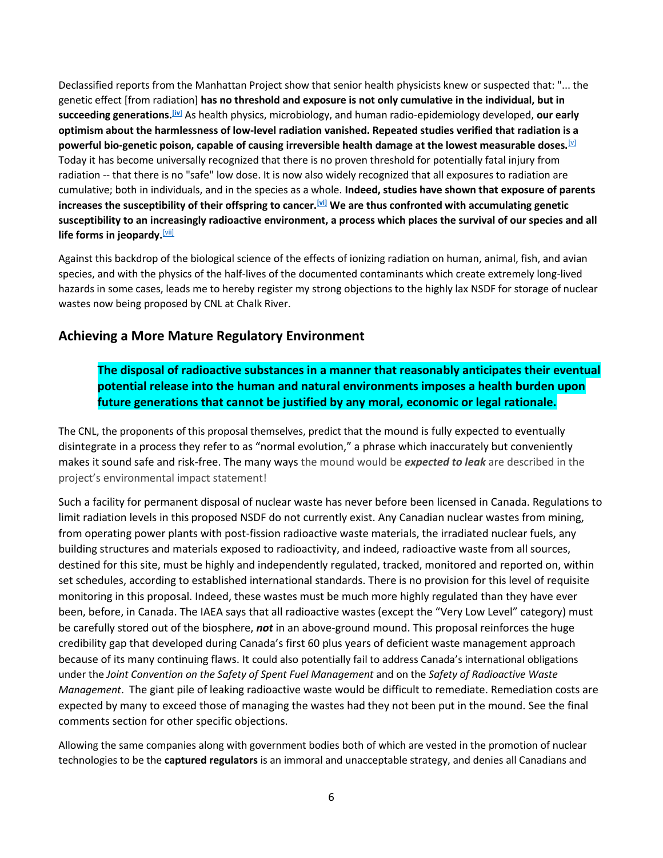Declassified reports from the Manhattan Project show that senior health physicists knew or suspected that: "... the genetic effect [from radiation] **has no threshold and exposure is not only cumulative in the individual, but in succeeding generations.[\[iv](https://ukc-word-edit.officeapps.live.com/we/wordeditorframe.aspx?new=1&ui=en%2DUS&rs=en%2DUS&wdorigin=OFFICECOM-WEB.START.NEW-INSTANT&wdenableroaming=1&mscc=1&wdodb=1&hid=AA402FA0-40B2-3000-E9A6-1149598EA974&wopisrc=https%3A%2F%2Fvipassanatrust-my.sharepoint.com%2Fpersonal%2Fjudith_fox-lee_dhamma_org%2F_vti_bin%2Fwopi.ashx%2Ffiles%2Fac549aeca4a1490da830909acbe5a9fd&wdhostclicktime=1648761884544&jsapi=1&jsapiver=v1&newsession=1&corrid=94af02c4-cca4-43d3-8c66-862e081d0db3&usid=94af02c4-cca4-43d3-8c66-862e081d0db3&sftc=1&mtf=1&sfp=1&wdredirectionreason=Unified_SingleFlush&rct=Medium&ctp=LeastProtected#_edn4)**] As health physics, microbiology, and human radio-epidemiology developed, **our early optimism about the harmlessness of low-level radiation vanished. Repeated studies verified that radiation is a powerful bio-genetic poison, capable of causing irreversible health damage at the lowest measurable doses.**[\[v\]](https://ukc-word-edit.officeapps.live.com/we/wordeditorframe.aspx?new=1&ui=en%2DUS&rs=en%2DUS&wdorigin=OFFICECOM-WEB.START.NEW-INSTANT&wdenableroaming=1&mscc=1&wdodb=1&hid=AA402FA0-40B2-3000-E9A6-1149598EA974&wopisrc=https%3A%2F%2Fvipassanatrust-my.sharepoint.com%2Fpersonal%2Fjudith_fox-lee_dhamma_org%2F_vti_bin%2Fwopi.ashx%2Ffiles%2Fac549aeca4a1490da830909acbe5a9fd&wdhostclicktime=1648761884544&jsapi=1&jsapiver=v1&newsession=1&corrid=94af02c4-cca4-43d3-8c66-862e081d0db3&usid=94af02c4-cca4-43d3-8c66-862e081d0db3&sftc=1&mtf=1&sfp=1&wdredirectionreason=Unified_SingleFlush&rct=Medium&ctp=LeastProtected#_edn5) Today it has become universally recognized that there is no proven threshold for potentially fatal injury from radiation -- that there is no "safe" low dose. It is now also widely recognized that all exposures to radiation are cumulative; both in individuals, and in the species as a whole. **Indeed, studies have shown that exposure of parents increases the susceptibility of their offspring to cancer.[\[vi\]](https://ukc-word-edit.officeapps.live.com/we/wordeditorframe.aspx?new=1&ui=en%2DUS&rs=en%2DUS&wdorigin=OFFICECOM-WEB.START.NEW-INSTANT&wdenableroaming=1&mscc=1&wdodb=1&hid=AA402FA0-40B2-3000-E9A6-1149598EA974&wopisrc=https%3A%2F%2Fvipassanatrust-my.sharepoint.com%2Fpersonal%2Fjudith_fox-lee_dhamma_org%2F_vti_bin%2Fwopi.ashx%2Ffiles%2Fac549aeca4a1490da830909acbe5a9fd&wdhostclicktime=1648761884544&jsapi=1&jsapiver=v1&newsession=1&corrid=94af02c4-cca4-43d3-8c66-862e081d0db3&usid=94af02c4-cca4-43d3-8c66-862e081d0db3&sftc=1&mtf=1&sfp=1&wdredirectionreason=Unified_SingleFlush&rct=Medium&ctp=LeastProtected#_edn6) We are thus confronted with accumulating genetic susceptibility to an increasingly radioactive environment, a process which places the survival of our species and all life forms in jeopardy.**[\[vii\]](https://ukc-word-edit.officeapps.live.com/we/wordeditorframe.aspx?new=1&ui=en%2DUS&rs=en%2DUS&wdorigin=OFFICECOM-WEB.START.NEW-INSTANT&wdenableroaming=1&mscc=1&wdodb=1&hid=AA402FA0-40B2-3000-E9A6-1149598EA974&wopisrc=https%3A%2F%2Fvipassanatrust-my.sharepoint.com%2Fpersonal%2Fjudith_fox-lee_dhamma_org%2F_vti_bin%2Fwopi.ashx%2Ffiles%2Fac549aeca4a1490da830909acbe5a9fd&wdhostclicktime=1648761884544&jsapi=1&jsapiver=v1&newsession=1&corrid=94af02c4-cca4-43d3-8c66-862e081d0db3&usid=94af02c4-cca4-43d3-8c66-862e081d0db3&sftc=1&mtf=1&sfp=1&wdredirectionreason=Unified_SingleFlush&rct=Medium&ctp=LeastProtected#_edn7)

Against this backdrop of the biological science of the effects of ionizing radiation on human, animal, fish, and avian species, and with the physics of the half-lives of the documented contaminants which create extremely long-lived hazards in some cases, leads me to hereby register my strong objections to the highly lax NSDF for storage of nuclear wastes now being proposed by CNL at Chalk River.

#### **Achieving a More Mature Regulatory Environment**

## **The disposal of radioactive substances in a manner that reasonably anticipates their eventual potential release into the human and natural environments imposes a health burden upon future generations that cannot be justified by any moral, economic or legal rationale.**

The CNL, the proponents of this proposal themselves, predict that the mound is fully expected to eventually disintegrate in a process they refer to as "normal evolution," a phrase which inaccurately but conveniently makes it sound safe and risk-free. The many ways the mound would be *expected to leak* are described in the project's environmental impact statement!

Such a facility for permanent disposal of nuclear waste has never before been licensed in Canada. Regulations to limit radiation levels in this proposed NSDF do not currently exist. Any Canadian nuclear wastes from mining, from operating power plants with post-fission radioactive waste materials, the irradiated nuclear fuels, any building structures and materials exposed to radioactivity, and indeed, radioactive waste from all sources, destined for this site, must be highly and independently regulated, tracked, monitored and reported on, within set schedules, according to established international standards. There is no provision for this level of requisite monitoring in this proposal. Indeed, these wastes must be much more highly regulated than they have ever been, before, in Canada. The IAEA says that all radioactive wastes (except the "Very Low Level" category) must be carefully stored out of the biosphere, *not* in an above-ground mound. This proposal reinforces the huge credibility gap that developed during Canada's first 60 plus years of deficient waste management approach because of its many continuing flaws. It could also potentially fail to address Canada's international obligations under the *Joint Convention on the Safety of Spent Fuel Management* and on the *Safety of Radioactive Waste Management*. The giant pile of leaking radioactive waste would be difficult to remediate. Remediation costs are expected by many to exceed those of managing the wastes had they not been put in the mound. See the final comments section for other specific objections.

Allowing the same companies along with government bodies both of which are vested in the promotion of nuclear technologies to be the **captured regulators** is an immoral and unacceptable strategy, and denies all Canadians and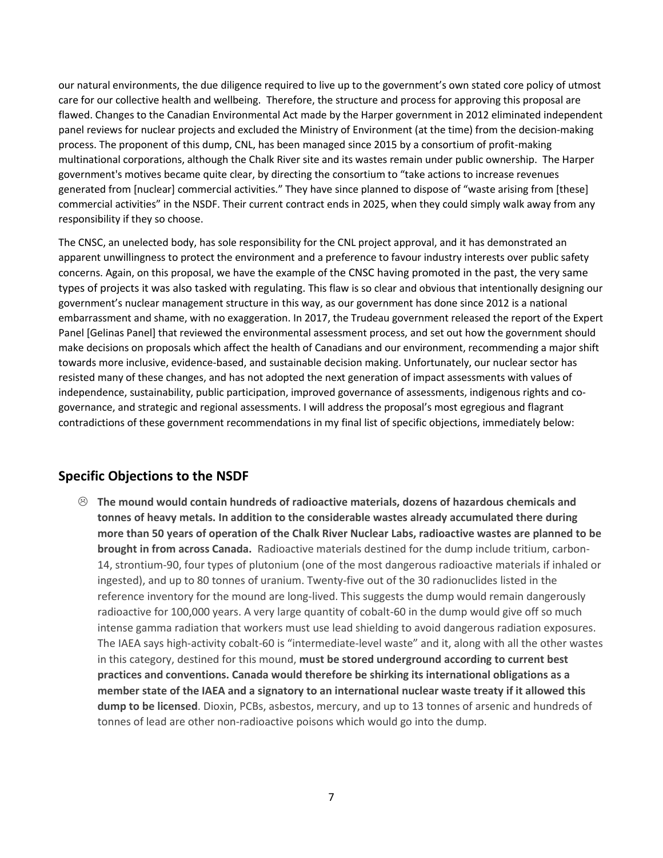our natural environments, the due diligence required to live up to the government's own stated core policy of utmost care for our collective health and wellbeing. Therefore, the structure and process for approving this proposal are flawed. Changes to the Canadian Environmental Act made by the Harper government in 2012 eliminated independent panel reviews for nuclear projects and excluded the Ministry of Environment (at the time) from the decision-making process. The proponent of this dump, CNL, has been managed since 2015 by a consortium of profit-making multinational corporations, although the Chalk River site and its wastes remain under public ownership. The Harper government's motives became quite clear, by directing the consortium to "take actions to increase revenues generated from [nuclear] commercial activities." They have since planned to dispose of "waste arising from [these] commercial activities" in the NSDF. Their current contract ends in 2025, when they could simply walk away from any responsibility if they so choose.

The CNSC, an unelected body, has sole responsibility for the CNL project approval, and it has demonstrated an apparent unwillingness to protect the environment and a preference to favour industry interests over public safety concerns. Again, on this proposal, we have the example of the CNSC having promoted in the past, the very same types of projects it was also tasked with regulating. This flaw is so clear and obvious that intentionally designing our government's nuclear management structure in this way, as our government has done since 2012 is a national embarrassment and shame, with no exaggeration. In 2017, the Trudeau government released the report of the Expert Panel [Gelinas Panel] that reviewed the environmental assessment process, and set out how the government should make decisions on proposals which affect the health of Canadians and our environment, recommending a major shift towards more inclusive, evidence-based, and sustainable decision making. Unfortunately, our nuclear sector has resisted many of these changes, and has not adopted the next generation of impact assessments with values of independence, sustainability, public participation, improved governance of assessments, indigenous rights and cogovernance, and strategic and regional assessments. I will address the proposal's most egregious and flagrant contradictions of these government recommendations in my final list of specific objections, immediately below:

## **Specific Objections to the NSDF**

 **The mound would contain hundreds of radioactive materials, dozens of hazardous chemicals and tonnes of heavy metals. In addition to the considerable wastes already accumulated there during more than 50 years of operation of the Chalk River Nuclear Labs, radioactive wastes are planned to be brought in from across Canada.** Radioactive materials destined for the dump include tritium, carbon-14, strontium-90, four types of plutonium (one of the most dangerous radioactive materials if inhaled or ingested), and up to 80 tonnes of uranium. Twenty-five out of the 30 radionuclides listed in the reference inventory for the mound are long-lived. This suggests the dump would remain dangerously radioactive for 100,000 years. A very large quantity of cobalt-60 in the dump would give off so much intense gamma radiation that workers must use lead shielding to avoid dangerous radiation exposures. The IAEA says high-activity cobalt-60 is "intermediate-level waste" and it, along with all the other wastes in this category, destined for this mound, **must be stored underground according to current best practices and conventions. Canada would therefore be shirking its international obligations as a member state of the IAEA and a signatory to an international nuclear waste treaty if it allowed this dump to be licensed**. Dioxin, PCBs, asbestos, mercury, and up to 13 tonnes of arsenic and hundreds of tonnes of lead are other non-radioactive poisons which would go into the dump.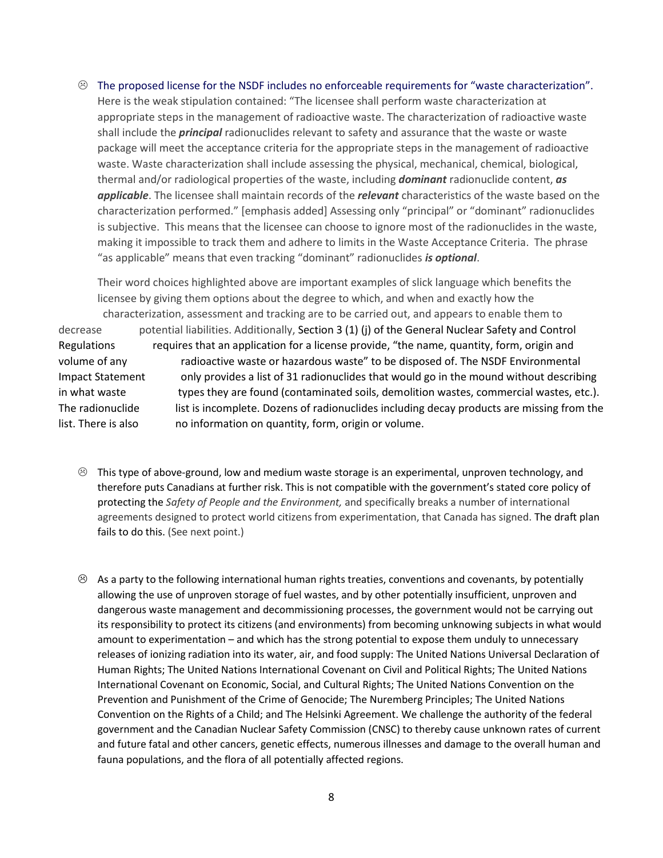$\odot$  The proposed license for the NSDF includes no enforceable requirements for "waste characterization". Here is the weak stipulation contained: "The licensee shall perform waste characterization at appropriate steps in the management of radioactive waste. The characterization of radioactive waste shall include the *principal* radionuclides relevant to safety and assurance that the waste or waste package will meet the acceptance criteria for the appropriate steps in the management of radioactive waste. Waste characterization shall include assessing the physical, mechanical, chemical, biological, thermal and/or radiological properties of the waste, including *dominant* radionuclide content, *as applicable*. The licensee shall maintain records of the *relevant* characteristics of the waste based on the characterization performed." [emphasis added] Assessing only "principal" or "dominant" radionuclides is subjective. This means that the licensee can choose to ignore most of the radionuclides in the waste, making it impossible to track them and adhere to limits in the Waste Acceptance Criteria. The phrase "as applicable" means that even tracking "dominant" radionuclides *is optional*.

Their word choices highlighted above are important examples of slick language which benefits the licensee by giving them options about the degree to which, and when and exactly how the characterization, assessment and tracking are to be carried out, and appears to enable them to decrease potential liabilities. Additionally, Section 3 (1) (j) of the General Nuclear Safety and Control Regulations requires that an application for a license provide, "the name, quantity, form, origin and volume of any radioactive waste or hazardous waste" to be disposed of. The NSDF Environmental Impact Statement only provides a list of 31 radionuclides that would go in the mound without describing in what waste types they are found (contaminated soils, demolition wastes, commercial wastes, etc.). The radionuclide list is incomplete. Dozens of radionuclides including decay products are missing from the list. There is also no information on quantity, form, origin or volume.

- $\odot$  This type of above-ground, low and medium waste storage is an experimental, unproven technology, and therefore puts Canadians at further risk. This is not compatible with the government's stated core policy of protecting the *Safety of People and the Environment,* and specifically breaks a number of international agreements designed to protect world citizens from experimentation, that Canada has signed. The draft plan fails to do this. (See next point.)
- $\otimes$  As a party to the following international human rights treaties, conventions and covenants, by potentially allowing the use of unproven storage of fuel wastes, and by other potentially insufficient, unproven and dangerous waste management and decommissioning processes, the government would not be carrying out its responsibility to protect its citizens (and environments) from becoming unknowing subjects in what would amount to experimentation – and which has the strong potential to expose them unduly to unnecessary releases of ionizing radiation into its water, air, and food supply: The United Nations Universal Declaration of Human Rights; The United Nations International Covenant on Civil and Political Rights; The United Nations International Covenant on Economic, Social, and Cultural Rights; The United Nations Convention on the Prevention and Punishment of the Crime of Genocide; The Nuremberg Principles; The United Nations Convention on the Rights of a Child; and The Helsinki Agreement. We challenge the authority of the federal government and the Canadian Nuclear Safety Commission (CNSC) to thereby cause unknown rates of current and future fatal and other cancers, genetic effects, numerous illnesses and damage to the overall human and fauna populations, and the flora of all potentially affected regions.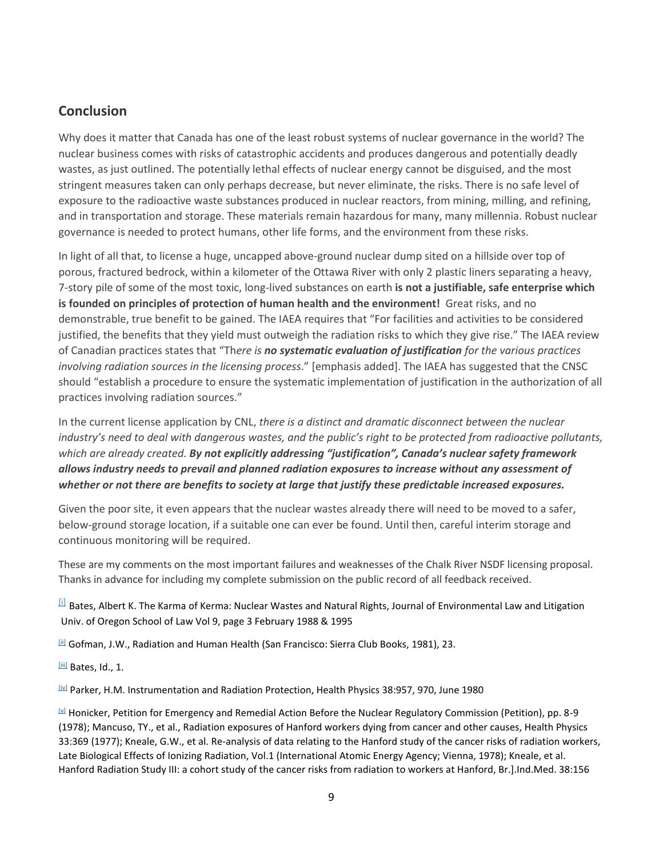# **Conclusion**

Why does it matter that Canada has one of the least robust systems of nuclear governance in the world? The nuclear business comes with risks of catastrophic accidents and produces dangerous and potentially deadly wastes, as just outlined. The potentially lethal effects of nuclear energy cannot be disguised, and the most stringent measures taken can only perhaps decrease, but never eliminate, the risks. There is no safe level of exposure to the radioactive waste substances produced in nuclear reactors, from mining, milling, and refining, and in transportation and storage. These materials remain hazardous for many, many millennia. Robust nuclear governance is needed to protect humans, other life forms, and the environment from these risks.

In light of all that, to license a huge, uncapped above-ground nuclear dump sited on a hillside over top of porous, fractured bedrock, within a kilometer of the Ottawa River with only 2 plastic liners separating a heavy, 7-story pile of some of the most toxic, long-lived substances on earth **is not a justifiable, safe enterprise which is founded on principles of protection of human health and the environment!** Great risks, and no demonstrable, true benefit to be gained. The IAEA requires that "For facilities and activities to be considered justified, the benefits that they yield must outweigh the radiation risks to which they give rise." The IAEA review of Canadian practices states that "Th*ere is no systematic evaluation of justification for the various practices involving radiation sources in the licensing process*." [emphasis added]. The IAEA has suggested that the CNSC should "establish a procedure to ensure the systematic implementation of justification in the authorization of all practices involving radiation sources."

In the current license application by CNL, *there is a distinct and dramatic disconnect between the nuclear industry's need to deal with dangerous wastes, and the public's right to be protected from radioactive pollutants, which are already created. By not explicitly addressing "justification", Canada's nuclear safety framework allows industry needs to prevail and planned radiation exposures to increase without any assessment of whether or not there are benefits to society at large that justify these predictable increased exposures.*

Given the poor site, it even appears that the nuclear wastes already there will need to be moved to a safer, below-ground storage location, if a suitable one can ever be found. Until then, careful interim storage and continuous monitoring will be required.

These are my comments on the most important failures and weaknesses of the Chalk River NSDF licensing proposal. Thanks in advance for including my complete submission on the public record of all feedback received.

[\[i\]](https://ukc-word-edit.officeapps.live.com/we/wordeditorframe.aspx?new=1&ui=en%2DUS&rs=en%2DUS&wdorigin=OFFICECOM-WEB.START.NEW-INSTANT&wdenableroaming=1&mscc=1&wdodb=1&hid=AA402FA0-40B2-3000-E9A6-1149598EA974&wopisrc=https%3A%2F%2Fvipassanatrust-my.sharepoint.com%2Fpersonal%2Fjudith_fox-lee_dhamma_org%2F_vti_bin%2Fwopi.ashx%2Ffiles%2Fac549aeca4a1490da830909acbe5a9fd&wdhostclicktime=1648761884544&jsapi=1&jsapiver=v1&newsession=1&corrid=94af02c4-cca4-43d3-8c66-862e081d0db3&usid=94af02c4-cca4-43d3-8c66-862e081d0db3&sftc=1&mtf=1&sfp=1&wdredirectionreason=Unified_SingleFlush&rct=Medium&ctp=LeastProtected#_ednref1) Bates, Albert K. The Karma of Kerma: Nuclear Wastes and Natural Rights, Journal of Environmental Law and Litigation Univ. of Oregon School of Law Vol 9, page 3 February 1988 & 1995

[\[ii\]](https://ukc-word-edit.officeapps.live.com/we/wordeditorframe.aspx?new=1&ui=en%2DUS&rs=en%2DUS&wdorigin=OFFICECOM-WEB.START.NEW-INSTANT&wdenableroaming=1&mscc=1&wdodb=1&hid=AA402FA0-40B2-3000-E9A6-1149598EA974&wopisrc=https%3A%2F%2Fvipassanatrust-my.sharepoint.com%2Fpersonal%2Fjudith_fox-lee_dhamma_org%2F_vti_bin%2Fwopi.ashx%2Ffiles%2Fac549aeca4a1490da830909acbe5a9fd&wdhostclicktime=1648761884544&jsapi=1&jsapiver=v1&newsession=1&corrid=94af02c4-cca4-43d3-8c66-862e081d0db3&usid=94af02c4-cca4-43d3-8c66-862e081d0db3&sftc=1&mtf=1&sfp=1&wdredirectionreason=Unified_SingleFlush&rct=Medium&ctp=LeastProtected#_ednref2) Gofman, J.W., Radiation and Human Health (San Francisco: Sierra Club Books, 1981), 23.

[\[iii\]](https://ukc-word-edit.officeapps.live.com/we/wordeditorframe.aspx?new=1&ui=en%2DUS&rs=en%2DUS&wdorigin=OFFICECOM-WEB.START.NEW-INSTANT&wdenableroaming=1&mscc=1&wdodb=1&hid=AA402FA0-40B2-3000-E9A6-1149598EA974&wopisrc=https%3A%2F%2Fvipassanatrust-my.sharepoint.com%2Fpersonal%2Fjudith_fox-lee_dhamma_org%2F_vti_bin%2Fwopi.ashx%2Ffiles%2Fac549aeca4a1490da830909acbe5a9fd&wdhostclicktime=1648761884544&jsapi=1&jsapiver=v1&newsession=1&corrid=94af02c4-cca4-43d3-8c66-862e081d0db3&usid=94af02c4-cca4-43d3-8c66-862e081d0db3&sftc=1&mtf=1&sfp=1&wdredirectionreason=Unified_SingleFlush&rct=Medium&ctp=LeastProtected#_ednref3) Bates, Id., 1.

[\[iv\]](https://ukc-word-edit.officeapps.live.com/we/wordeditorframe.aspx?new=1&ui=en%2DUS&rs=en%2DUS&wdorigin=OFFICECOM-WEB.START.NEW-INSTANT&wdenableroaming=1&mscc=1&wdodb=1&hid=AA402FA0-40B2-3000-E9A6-1149598EA974&wopisrc=https%3A%2F%2Fvipassanatrust-my.sharepoint.com%2Fpersonal%2Fjudith_fox-lee_dhamma_org%2F_vti_bin%2Fwopi.ashx%2Ffiles%2Fac549aeca4a1490da830909acbe5a9fd&wdhostclicktime=1648761884544&jsapi=1&jsapiver=v1&newsession=1&corrid=94af02c4-cca4-43d3-8c66-862e081d0db3&usid=94af02c4-cca4-43d3-8c66-862e081d0db3&sftc=1&mtf=1&sfp=1&wdredirectionreason=Unified_SingleFlush&rct=Medium&ctp=LeastProtected#_ednref4) Parker, H.M. Instrumentation and Radiation Protection, Health Physics 38:957, 970, June 1980

 $\mathbb{Z}$  Honicker, Petition for Emergency and Remedial Action Before the Nuclear Regulatory Commission (Petition), pp. 8-9 (1978); Mancuso, TY., et al., Radiation exposures of Hanford workers dying from cancer and other causes, Health Physics 33:369 (1977); Kneale, G.W., et al. Re-analysis of data relating to the Hanford study of the cancer risks of radiation workers, Late Biological Effects of Ionizing Radiation, Vol.1 (International Atomic Energy Agency; Vienna, 1978); Kneale, et al. Hanford Radiation Study III: a cohort study of the cancer risks from radiation to workers at Hanford, Br.].Ind.Med. 38:156